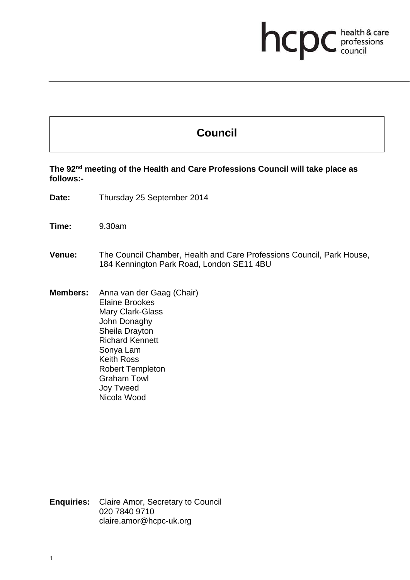## **health & care**

## **Council**

**The 92nd meeting of the Health and Care Professions Council will take place as follows:-** 

**Date:** Thursday 25 September 2014

**Time:** 9.30am

**Venue:** The Council Chamber, Health and Care Professions Council, Park House, 184 Kennington Park Road, London SE11 4BU

**Members:** Anna van der Gaag (Chair) Elaine Brookes Mary Clark-Glass John Donaghy Sheila Drayton Richard Kennett Sonya Lam Keith Ross Robert Templeton Graham Towl Joy Tweed Nicola Wood

**Enquiries:** Claire Amor, Secretary to Council 020 7840 9710 claire.amor@hcpc-uk.org

1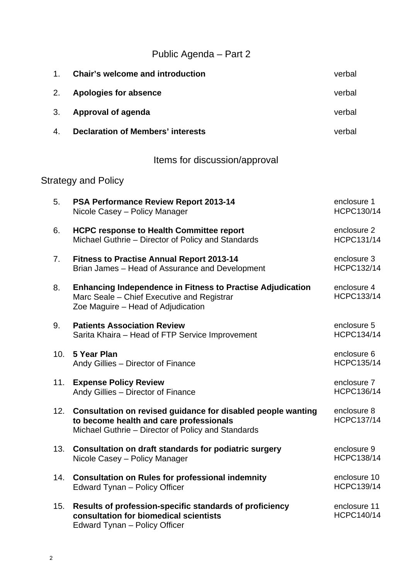Public Agenda – Part 2

| 1.                         | <b>Chair's welcome and introduction</b>                                                                                                                           | verbal                            |  |  |
|----------------------------|-------------------------------------------------------------------------------------------------------------------------------------------------------------------|-----------------------------------|--|--|
| 2.                         | <b>Apologies for absence</b>                                                                                                                                      | verbal                            |  |  |
| 3.                         | Approval of agenda                                                                                                                                                | verbal                            |  |  |
| 4.                         | <b>Declaration of Members' interests</b>                                                                                                                          | verbal                            |  |  |
|                            | Items for discussion/approval                                                                                                                                     |                                   |  |  |
| <b>Strategy and Policy</b> |                                                                                                                                                                   |                                   |  |  |
| 5.                         | <b>PSA Performance Review Report 2013-14</b><br>Nicole Casey - Policy Manager                                                                                     | enclosure 1<br>HCPC130/14         |  |  |
| 6.                         | <b>HCPC response to Health Committee report</b><br>Michael Guthrie - Director of Policy and Standards                                                             | enclosure 2<br><b>HCPC131/14</b>  |  |  |
| 7.                         | <b>Fitness to Practise Annual Report 2013-14</b><br>Brian James - Head of Assurance and Development                                                               | enclosure 3<br><b>HCPC132/14</b>  |  |  |
| 8.                         | <b>Enhancing Independence in Fitness to Practise Adjudication</b><br>Marc Seale - Chief Executive and Registrar<br>Zoe Maguire - Head of Adjudication             | enclosure 4<br><b>HCPC133/14</b>  |  |  |
| 9.                         | <b>Patients Association Review</b><br>Sarita Khaira - Head of FTP Service Improvement                                                                             | enclosure 5<br><b>HCPC134/14</b>  |  |  |
| 10.                        | 5 Year Plan<br>Andy Gillies - Director of Finance                                                                                                                 | enclosure 6<br><b>HCPC135/14</b>  |  |  |
| 11.                        | <b>Expense Policy Review</b><br>Andy Gillies - Director of Finance                                                                                                | enclosure 7<br><b>HCPC136/14</b>  |  |  |
|                            | 12. Consultation on revised guidance for disabled people wanting<br>to become health and care professionals<br>Michael Guthrie - Director of Policy and Standards | enclosure 8<br><b>HCPC137/14</b>  |  |  |
| 13.                        | Consultation on draft standards for podiatric surgery<br>Nicole Casey - Policy Manager                                                                            | enclosure 9<br><b>HCPC138/14</b>  |  |  |
|                            | 14. Consultation on Rules for professional indemnity<br>Edward Tynan - Policy Officer                                                                             | enclosure 10<br><b>HCPC139/14</b> |  |  |
| 15.                        | Results of profession-specific standards of proficiency<br>consultation for biomedical scientists<br>Edward Tynan - Policy Officer                                | enclosure 11<br><b>HCPC140/14</b> |  |  |